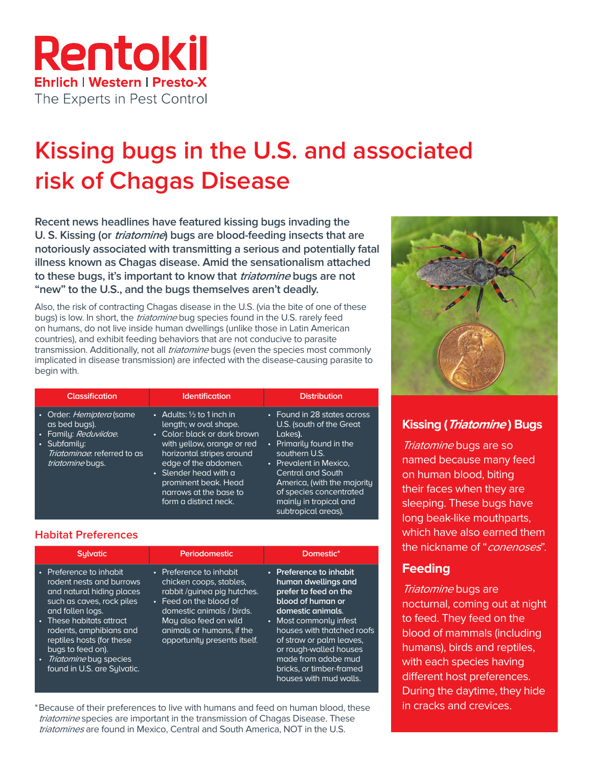

# **Kissing bugs in the U.S. and associated risk of Chagas Disease**

**Recent news headlines have featured kissing bugs invading the U. S. Kissing (or triatomine) bugs are blood-feeding insects that are notoriously associated with transmitting a serious and potentially fatal illness known as Chagas disease. Amid the sensationalism attached to these bugs, it's important to know that triatomine bugs are not "new" to the U.S., and the bugs themselves aren't deadly.**

Also, the risk of contracting Chagas disease in the U.S. (via the bite of one of these bugs) is low. In short, the *triatomine* bug species found in the U.S. rarely feed on humans, do not live inside human dwellings (unlike those in Latin American countries), and exhibit feeding behaviors that are not conducive to parasite transmission. Additionally, not all *triatomine* bugs (even the species most commonly implicated in disease transmission) are infected with the disease-causing parasite to begin with.

| <b>Classification</b>                                                                                                                                       | <b>Identification</b>                                                                                                                                                                                                                                                                | <b>Distribution</b>                                                                                                                                                                                                                                                              |
|-------------------------------------------------------------------------------------------------------------------------------------------------------------|--------------------------------------------------------------------------------------------------------------------------------------------------------------------------------------------------------------------------------------------------------------------------------------|----------------------------------------------------------------------------------------------------------------------------------------------------------------------------------------------------------------------------------------------------------------------------------|
| • Order: <i>Hemiptera</i> (same<br>as bed bugs).<br>· Family: Reduviidae.<br>• Subfamily:<br><i>Triatominae</i> : referred to as<br><i>triatomine</i> bugs. | • Adults: $\frac{1}{2}$ to 1 inch in<br>length; w oval shape.<br>• Color: black or dark brown<br>with yellow, orange or red<br>horizontal stripes around<br>edge of the abdomen.<br>• Slender head with a<br>prominent beak. Head<br>narrows at the base to<br>form a distinct neck. | • Found in 28 states across<br>U.S. (south of the Great<br>Lakes).<br>• Primarily found in the<br>southern U.S.<br>• Prevalent in Mexico,<br><b>Central and South</b><br>America, (with the majority<br>of species concentrated<br>mainly in tropical and<br>subtropical areas). |

#### **Habitat Preferences**

| <b>Sulvatic</b>                                                                                                                                                                                                                                                                                 | Periodomestic                                                                                                                                                                                                                 | Domestic*                                                                                                                                                                                                                                                                                                    |
|-------------------------------------------------------------------------------------------------------------------------------------------------------------------------------------------------------------------------------------------------------------------------------------------------|-------------------------------------------------------------------------------------------------------------------------------------------------------------------------------------------------------------------------------|--------------------------------------------------------------------------------------------------------------------------------------------------------------------------------------------------------------------------------------------------------------------------------------------------------------|
| Preference to inhabit<br>rodent nests and burrows<br>and natural hiding places<br>such as caves, rock piles<br>and fallen logs.<br>These habitats attract<br>rodents, amphibians and<br>reptiles hosts (for these<br>bugs to feed on).<br>Triatomine bug species<br>found in U.S. are Sulvatic. | • Preference to inhabit<br>chicken coops, stables,<br>rabbit/quinea pig hutches.<br>• Feed on the blood of<br>domestic animals / birds.<br>May also feed on wild<br>animals or humans, if the<br>opportunity presents itself. | • Preference to inhabit<br>human dwellings and<br>prefer to feed on the<br>blood of human or<br>domestic animals.<br>• Most commonly infest<br>houses with thatched roofs<br>of straw or palm leaves,<br>or rough-walled houses<br>made from adobe mud<br>bricks, or timber-framed<br>houses with mud walls. |

\*Because of their preferences to live with humans and feed on human blood, these triatomine species are important in the transmission of Chagas Disease. These triatomines are found in Mexico, Central and South America, NOT in the U.S.

## **Kissing (Triatomine ) Bugs**

Triatomine bugs are so named because many feed on human blood, biting their faces when they are sleeping. These bugs have long beak-like mouthparts, which have also earned them the nickname of "*conenoses*".

#### **Feeding**

Triatomine bugs are nocturnal, coming out at night to feed. They feed on the blood of mammals (including humans), birds and reptiles, with each species having different host preferences. During the daytime, they hide in cracks and crevices.